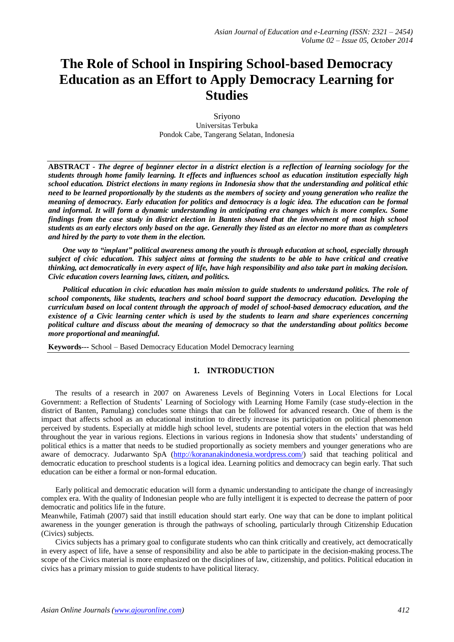# **The Role of School in Inspiring School-based Democracy Education as an Effort to Apply Democracy Learning for Studies**

Sriyono Universitas Terbuka Pondok Cabe, Tangerang Selatan, Indonesia

**ABSTRACT** *- The degree of beginner elector in a district election is a reflection of learning sociology for the students through home family learning. It effects and influences school as education institution especially high school education. District elections in many regions in Indonesia show that the understanding and political ethic need to be learned proportionally by the students as the members of society and young generation who realize the meaning of democracy. Early education for politics and democracy is a logic idea. The education can be formal and informal. It will form a dynamic understanding in anticipating era changes which is more complex. Some findings from the case study in district election in Banten showed that the involvement of most high school students as an early electors only based on the age. Generally they listed as an elector no more than as completers and hired by the party to vote them in the election.*

*One way to "implant" political awareness among the youth is through education at school, especially through subject of civic education. This subject aims at forming the students to be able to have critical and creative thinking, act democratically in every aspect of life, have high responsibility and also take part in making decision. Civic education covers learning laws, citizen, and politics.*

*Political education in civic education has main mission to guide students to understand politics. The role of school components, like students, teachers and school board support the democracy education. Developing the curriculum based on local content through the approach of model of school-based democracy education, and the existence of a Civic learning center which is used by the students to learn and share experiences concerning political culture and discuss about the meaning of democracy so that the understanding about politics become more proportional and meaningful.*

**Keywords---** School – Based Democracy Education Model Democracy learning

# **1. INTRODUCTION**

The results of a research in 2007 on Awareness Levels of Beginning Voters in Local Elections for Local Government: a Reflection of Students' Learning of Sociology with Learning Home Family (case study-election in the district of Banten, Pamulang) concludes some things that can be followed for advanced research. One of them is the impact that affects school as an educational institution to directly increase its participation on political phenomenon perceived by students. Especially at middle high school level, students are potential voters in the election that was held throughout the year in various regions. Elections in various regions in Indonesia show that students' understanding of political ethics is a matter that needs to be studied proportionally as society members and younger generations who are aware of democracy. Judarwanto SpA [\(http://korananakindonesia.wordpress.com/\)](http://korananakindonesia.wordpress.com/) said that teaching political and democratic education to preschool students is a logical idea. Learning politics and democracy can begin early. That such education can be either a formal or non-formal education.

Early political and democratic education will form a dynamic understanding to anticipate the change of increasingly complex era. With the quality of Indonesian people who are fully intelligent it is expected to decrease the pattern of poor democratic and politics life in the future.

Meanwhile, Fatimah (2007) said that instill education should start early. One way that can be done to implant political awareness in the younger generation is through the pathways of schooling, particularly through Citizenship Education (Civics) subjects.

Civics subjects has a primary goal to configurate students who can think critically and creatively, act democratically in every aspect of life, have a sense of responsibility and also be able to participate in the decision-making process.The scope of the Civics material is more emphasized on the disciplines of law, citizenship, and politics. Political education in civics has a primary mission to guide students to have political literacy.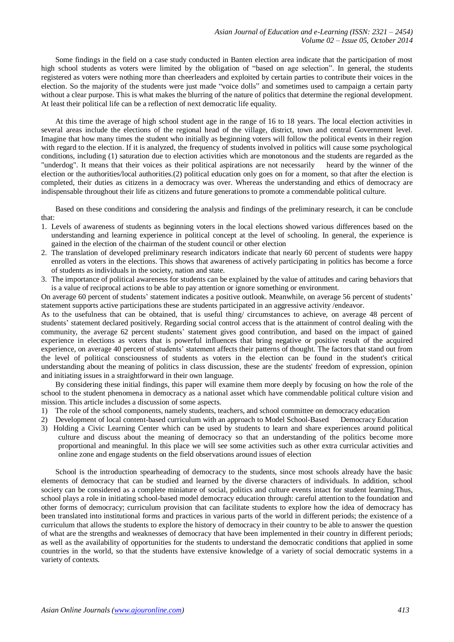Some findings in the field on a case study conducted in Banten election area indicate that the participation of most high school students as voters were limited by the obligation of "based on age selection". In general, the students registered as voters were nothing more than cheerleaders and exploited by certain parties to contribute their voices in the election. So the majority of the students were just made "voice dolls" and sometimes used to campaign a certain party without a clear purpose. This is what makes the blurring of the nature of politics that determine the regional development. At least their political life can be a reflection of next democratic life equality.

At this time the average of high school student age in the range of 16 to 18 years. The local election activities in several areas include the elections of the regional head of the village, district, town and central Government level. Imagine that how many times the student who initially as beginning voters will follow the political events in their region with regard to the election. If it is analyzed, the frequency of students involved in politics will cause some psychological conditions, including (1) saturation due to election activities which are monotonous and the students are regarded as the "underdog". It means that their voices as their political aspirations are not necessarily heard by the winner of the election or the authorities/local authorities.(2) political education only goes on for a moment, so that after the election is completed, their duties as citizens in a democracy was over. Whereas the understanding and ethics of democracy are indispensable throughout their life as citizens and future generations to promote a commendable political culture.

Based on these conditions and considering the analysis and findings of the preliminary research, it can be conclude that:

- 1. Levels of awareness of students as beginning voters in the local elections showed various differences based on the understanding and learning experience in political concept at the level of schooling. In general, the experience is gained in the election of the chairman of the student council or other election
- 2. The translation of developed preliminary research indicators indicate that nearly 60 percent of students were happy enrolled as voters in the elections. This shows that awareness of actively participating in politics has become a force of students as individuals in the society, nation and state.
- 3. The importance of political awareness for students can be explained by the value of attitudes and caring behaviors that is a value of reciprocal actions to be able to pay attention or ignore something or environment.

On average 60 percent of students' statement indicates a positive outlook. Meanwhile, on average 56 percent of students' statement supports active participations these are students participated in an aggressive activity /endeavor.

As to the usefulness that can be obtained, that is useful thing/ circumstances to achieve, on average 48 percent of students' statement declared positively. Regarding social control access that is the attainment of control dealing with the community, the average 62 percent students' statement gives good contribution, and based on the impact of gained experience in elections as voters that is powerful influences that bring negative or positive result of the acquired experience, on average 40 percent of students' statement affects their patterns of thought. The factors that stand out from the level of political consciousness of students as voters in the election can be found in the student's critical understanding about the meaning of politics in class discussion, these are the students' freedom of expression, opinion and initiating issues in a straightforward in their own language.

By considering these initial findings, this paper will examine them more deeply by focusing on how the role of the school to the student phenomena in democracy as a national asset which have commendable political culture vision and mission. This article includes a discussion of some aspects.

- 1) The role of the school components, namely students, teachers, and school committee on democracy education
- 2) Development of local content-based curriculum with an approach to Model School-Based Democracy Education
- 3) Holding a Civic Learning Center which can be used by students to learn and share experiences around political culture and discuss about the meaning of democracy so that an understanding of the politics become more proportional and meaningful. In this place we will see some activities such as other extra curricular activities and online zone and engage students on the field observations around issues of election

School is the introduction spearheading of democracy to the students, since most schools already have the basic elements of democracy that can be studied and learned by the diverse characters of individuals. In addition, school society can be considered as a complete miniature of social, politics and culture events intact for student learning.Thus, school plays a role in initiating school-based model democracy education through: careful attention to the foundation and other forms of democracy; curriculum provision that can facilitate students to explore how the idea of democracy has been translated into institutional forms and practices in various parts of the world in different periods; the existence of a curriculum that allows the students to explore the history of democracy in their country to be able to answer the question of what are the strengths and weaknesses of democracy that have been implemented in their country in different periods; as well as the availability of opportunities for the students to understand the democratic conditions that applied in some countries in the world, so that the students have extensive knowledge of a variety of social democratic systems in a variety of contexts.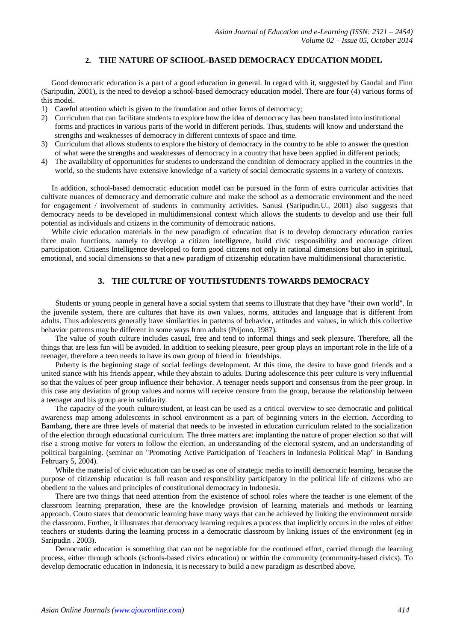## **2. THE NATURE OF SCHOOL-BASED DEMOCRACY EDUCATION MODEL**

Good democratic education is a part of a good education in general. In regard with it, suggested by Gandal and Finn (Saripudin, 2001), is the need to develop a school-based democracy education model. There are four (4) various forms of this model.

- 1) Careful attention which is given to the foundation and other forms of democracy;
- 2) Curriculum that can facilitate students to explore how the idea of democracy has been translated into institutional forms and practices in various parts of the world in different periods. Thus, students will know and understand the strengths and weaknesses of democracy in different contexts of space and time.
- 3) Curriculum that allows students to explore the history of democracy in the country to be able to answer the question of what were the strengths and weaknesses of democracy in a country that have been applied in different periods;
- 4) The availability of opportunities for students to understand the condition of democracy applied in the countries in the world, so the students have extensive knowledge of a variety of social democratic systems in a variety of contexts.

In addition, school-based democratic education model can be pursued in the form of extra curricular activities that cultivate nuances of democracy and democratic culture and make the school as a democratic environment and the need for engagement / involvement of students in community activities. Sanusi (Saripudin.U., 2001) also suggests that democracy needs to be developed in multidimensional context which allows the students to develop and use their full potential as individuals and citizens in the community of democratic nations.

While civic education materials in the new paradigm of education that is to develop democracy education carries three main functions, namely to develop a citizen intelligence, build civic responsibility and encourage citizen participation. Citizens Intelligence developed to form good citizens not only in rational dimensions but also in spiritual, emotional, and social dimensions so that a new paradigm of citizenship education have multidimensional characteristic.

## **3. THE CULTURE OF YOUTH/STUDENTS TOWARDS DEMOCRACY**

Students or young people in general have a social system that seems to illustrate that they have "their own world". In the juvenile system, there are cultures that have its own values, norms, attitudes and language that is different from adults. Thus adolescents generally have similarities in patterns of behavior, attitudes and values, in which this collective behavior patterns may be different in some ways from adults (Prijono, 1987).

The value of youth culture includes casual, free and tend to informal things and seek pleasure. Therefore, all the things that are less fun will be avoided. In addition to seeking pleasure, peer group plays an important role in the life of a teenager, therefore a teen needs to have its own group of friend in friendships.

Puberty is the beginning stage of social feelings development. At this time, the desire to have good friends and a united stance with his friends appear, while they abstain to adults. During adolescence this peer culture is very influential so that the values of peer group influence their behavior. A teenager needs support and consensus from the peer group. In this case any deviation of group values and norms will receive censure from the group, because the relationship between a teenager and his group are in solidarity.

The capacity of the youth culture/student, at least can be used as a critical overview to see democratic and political awareness map among adolescents in school environment as a part of beginning voters in the election. According to Bambang, there are three levels of material that needs to be invested in education curriculum related to the socialization of the election through educational curriculum. The three matters are: implanting the nature of proper election so that will rise a strong motive for voters to follow the election, an understanding of the electoral system, and an understanding of political bargaining. (seminar on "Promoting Active Participation of Teachers in Indonesia Political Map" in Bandung February 5, 2004).

While the material of civic education can be used as one of strategic media to instill democratic learning, because the purpose of citizenship education is full reason and responsibility participatory in the political life of citizens who are obedient to the values and principles of constitutional democracy in Indonesia.

There are two things that need attention from the existence of school roles where the teacher is one element of the classroom learning preparation, these are the knowledge provision of learning materials and methods or learning approach. Couto states that democratic learning have many ways that can be achieved by linking the environment outside the classroom. Further, it illustrates that democracy learning requires a process that implicitly occurs in the roles of either teachers or students during the learning process in a democratic classroom by linking issues of the environment (eg in Saripudin . 2003).

Democratic education is something that can not be negotiable for the continued effort, carried through the learning process, either through schools (schools-based civics education) or within the community (community-based civics). To develop democratic education in Indonesia, it is necessary to build a new paradigm as described above.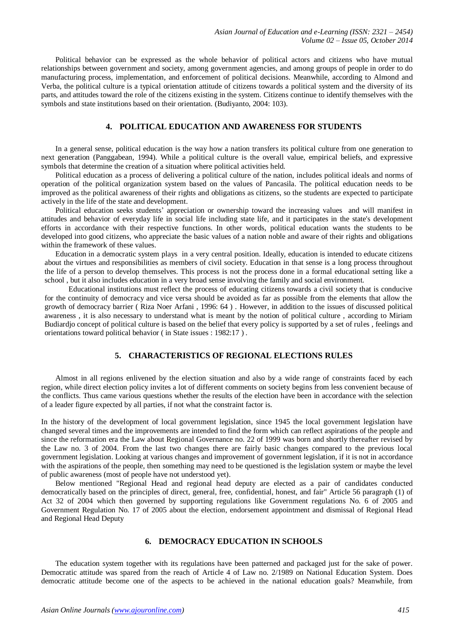Political behavior can be expressed as the whole behavior of political actors and citizens who have mutual relationships between government and society, among government agencies, and among groups of people in order to do manufacturing process, implementation, and enforcement of political decisions. Meanwhile, according to Almond and Verba, the political culture is a typical orientation attitude of citizens towards a political system and the diversity of its parts, and attitudes toward the role of the citizens existing in the system. Citizens continue to identify themselves with the symbols and state institutions based on their orientation. (Budiyanto, 2004: 103).

### **4. POLITICAL EDUCATION AND AWARENESS FOR STUDENTS**

In a general sense, political education is the way how a nation transfers its political culture from one generation to next generation (Panggabean, 1994). While a political culture is the overall value, empirical beliefs, and expressive symbols that determine the creation of a situation where political activities held.

Political education as a process of delivering a political culture of the nation, includes political ideals and norms of operation of the political organization system based on the values of Pancasila. The political education needs to be improved as the political awareness of their rights and obligations as citizens, so the students are expected to participate actively in the life of the state and development.

Political education seeks students' appreciation or ownership toward the increasing values and will manifest in attitudes and behavior of everyday life in social life including state life, and it participates in the state's development efforts in accordance with their respective functions. In other words, political education wants the students to be developed into good citizens, who appreciate the basic values of a nation noble and aware of their rights and obligations within the framework of these values.

Education in a democratic system plays in a very central position. Ideally, education is intended to educate citizens about the virtues and responsibilities as members of civil society. Education in that sense is a long process throughout the life of a person to develop themselves. This process is not the process done in a formal educational setting like a school , but it also includes education in a very broad sense involving the family and social environment.

Educational institutions must reflect the process of educating citizens towards a civil society that is conducive for the continuity of democracy and vice versa should be avoided as far as possible from the elements that allow the growth of democracy barrier ( Riza Noer Arfani , 1996: 64 ) . However, in addition to the issues of discussed political awareness , it is also necessary to understand what is meant by the notion of political culture , according to Miriam Budiardjo concept of political culture is based on the belief that every policy is supported by a set of rules , feelings and orientations toward political behavior ( in State issues : 1982:17 ) .

# **5. CHARACTERISTICS OF REGIONAL ELECTIONS RULES**

Almost in all regions enlivened by the election situation and also by a wide range of constraints faced by each region, while direct election policy invites a lot of different comments on society begins from less convenient because of the conflicts. Thus came various questions whether the results of the election have been in accordance with the selection of a leader figure expected by all parties, if not what the constraint factor is.

In the history of the development of local government legislation, since 1945 the local government legislation have changed several times and the improvements are intended to find the form which can reflect aspirations of the people and since the reformation era the Law about Regional Governance no. 22 of 1999 was born and shortly thereafter revised by the Law no. 3 of 2004. From the last two changes there are fairly basic changes compared to the previous local government legislation. Looking at various changes and improvement of government legislation, if it is not in accordance with the aspirations of the people, then something may need to be questioned is the legislation system or maybe the level of public awareness (most of people have not understood yet).

Below mentioned "Regional Head and regional head deputy are elected as a pair of candidates conducted democratically based on the principles of direct, general, free, confidential, honest, and fair" Article 56 paragraph (1) of Act 32 of 2004 which then governed by supporting regulations like Government regulations No. 6 of 2005 and Government Regulation No. 17 of 2005 about the election, endorsement appointment and dismissal of Regional Head and Regional Head Deputy

#### **6. DEMOCRACY EDUCATION IN SCHOOLS**

The education system together with its regulations have been patterned and packaged just for the sake of power. Democratic attitude was spared from the reach of Article 4 of Law no. 2/1989 on National Education System. Does democratic attitude become one of the aspects to be achieved in the national education goals? Meanwhile, from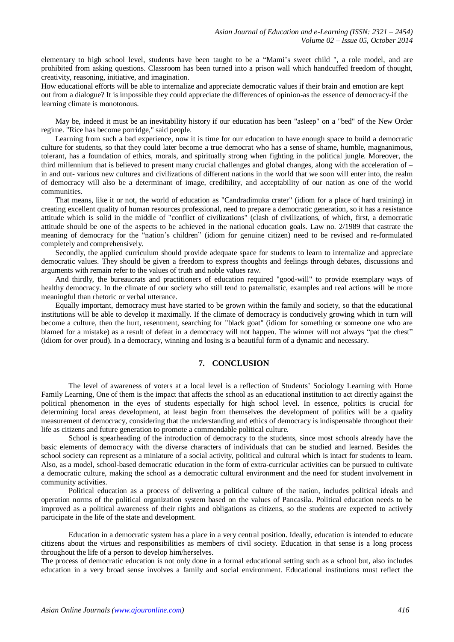elementary to high school level, students have been taught to be a "Mami's sweet child ", a role model, and are prohibited from asking questions. Classroom has been turned into a prison wall which handcuffed freedom of thought, creativity, reasoning, initiative, and imagination.

How educational efforts will be able to internalize and appreciate democratic values if their brain and emotion are kept out from a dialogue? It is impossible they could appreciate the differences of opinion-as the essence of democracy-if the learning climate is monotonous.

May be, indeed it must be an inevitability history if our education has been "asleep" on a "bed" of the New Order regime. "Rice has become porridge," said people.

Learning from such a bad experience, now it is time for our education to have enough space to build a democratic culture for students, so that they could later become a true democrat who has a sense of shame, humble, magnanimous, tolerant, has a foundation of ethics, morals, and spiritually strong when fighting in the political jungle. Moreover, the third millennium that is believed to present many crucial challenges and global changes, along with the acceleration of – in and out- various new cultures and civilizations of different nations in the world that we soon will enter into, the realm of democracy will also be a determinant of image, credibility, and acceptability of our nation as one of the world communities.

That means, like it or not, the world of education as "Candradimuka crater" (idiom for a place of hard training) in creating excellent quality of human resources professional, need to prepare a democratic generation, so it has a resistance attitude which is solid in the middle of "conflict of civilizations" (clash of civilizations, of which, first, a democratic attitude should be one of the aspects to be achieved in the national education goals. Law no. 2/1989 that castrate the meaning of democracy for the "nation's children" (idiom for genuine citizen) need to be revised and re-formulated completely and comprehensively.

Secondly, the applied curriculum should provide adequate space for students to learn to internalize and appreciate democratic values. They should be given a freedom to express thoughts and feelings through debates, discussions and arguments with remain refer to the values of truth and noble values raw.

And thirdly, the bureaucrats and practitioners of education required "good-will" to provide exemplary ways of healthy democracy. In the climate of our society who still tend to paternalistic, examples and real actions will be more meaningful than rhetoric or verbal utterance.

Equally important, democracy must have started to be grown within the family and society, so that the educational institutions will be able to develop it maximally. If the climate of democracy is conducively growing which in turn will become a culture, then the hurt, resentment, searching for "black goat" (idiom for something or someone one who are blamed for a mistake) as a result of defeat in a democracy will not happen. The winner will not always "pat the chest" (idiom for over proud). In a democracy, winning and losing is a beautiful form of a dynamic and necessary.

## **7. CONCLUSION**

The level of awareness of voters at a local level is a reflection of Students' Sociology Learning with Home Family Learning, One of them is the impact that affects the school as an educational institution to act directly against the political phenomenon in the eyes of students especially for high school level. In essence, politics is crucial for determining local areas development, at least begin from themselves the development of politics will be a quality measurement of democracy, considering that the understanding and ethics of democracy is indispensable throughout their life as citizens and future generation to promote a commendable political culture.

School is spearheading of the introduction of democracy to the students, since most schools already have the basic elements of democracy with the diverse characters of individuals that can be studied and learned. Besides the school society can represent as a miniature of a social activity, political and cultural which is intact for students to learn. Also, as a model, school-based democratic education in the form of extra-curricular activities can be pursued to cultivate a democratic culture, making the school as a democratic cultural environment and the need for student involvement in community activities.

Political education as a process of delivering a political culture of the nation, includes political ideals and operation norms of the political organization system based on the values of Pancasila. Political education needs to be improved as a political awareness of their rights and obligations as citizens, so the students are expected to actively participate in the life of the state and development.

Education in a democratic system has a place in a very central position. Ideally, education is intended to educate citizens about the virtues and responsibilities as members of civil society. Education in that sense is a long process throughout the life of a person to develop him/herselves.

The process of democratic education is not only done in a formal educational setting such as a school but, also includes education in a very broad sense involves a family and social environment. Educational institutions must reflect the